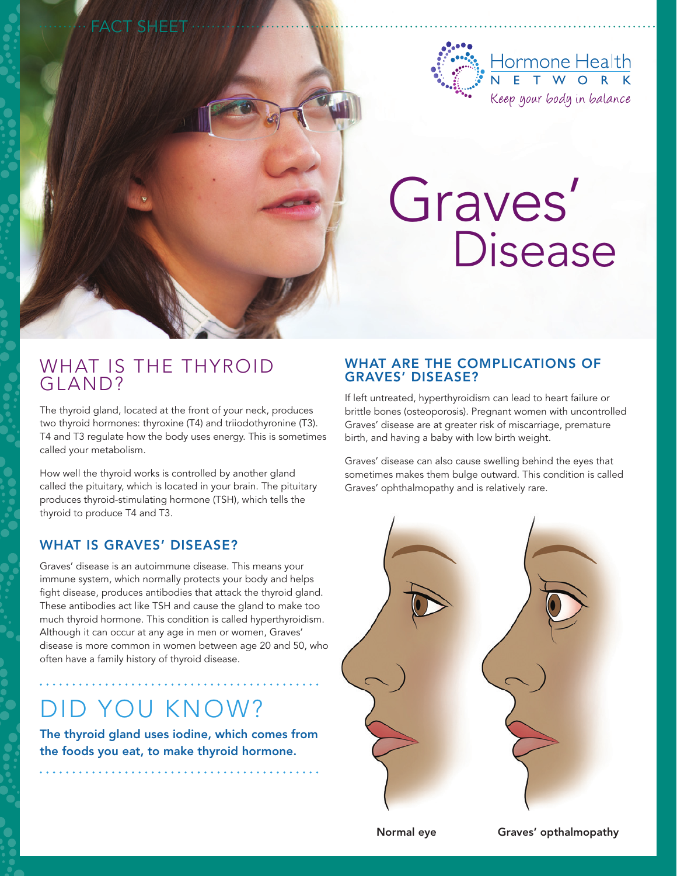

# Graves' Disease

### WHAT IS THE THYROID GLAND?

Fact Sheet

The thyroid gland, located at the front of your neck, produces two thyroid hormones: thyroxine (T4) and triiodothyronine (T3). T4 and T3 regulate how the body uses energy. This is sometimes called your metabolism.

How well the thyroid works is controlled by another gland called the pituitary, which is located in your brain. The pituitary produces thyroid-stimulating hormone (TSH), which tells the thyroid to produce T4 and T3.

#### WHAT IS GRAVES' DISEASE?

Graves' disease is an autoimmune disease. This means your immune system, which normally protects your body and helps fight disease, produces antibodies that attack the thyroid gland. These antibodies act like TSH and cause the gland to make too much thyroid hormone. This condition is called hyperthyroidism. Although it can occur at any age in men or women, Graves' disease is more common in women between age 20 and 50, who often have a family history of thyroid disease.

# Did You Know?

The thyroid gland uses iodine, which comes from the foods you eat, to make thyroid hormone.

#### WHAT ARE THE COMPLICATIONS OF Graves' disease?

If left untreated, hyperthyroidism can lead to heart failure or brittle bones (osteoporosis). Pregnant women with uncontrolled Graves' disease are at greater risk of miscarriage, premature birth, and having a baby with low birth weight.

Graves' disease can also cause swelling behind the eyes that sometimes makes them bulge outward. This condition is called Graves' ophthalmopathy and is relatively rare.



Normal eye Graves' opthalmopathy